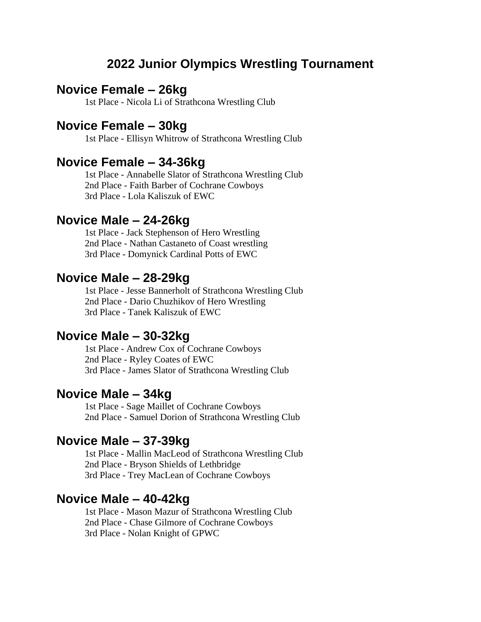# **2022 Junior Olympics Wrestling Tournament**

# **Novice Female – 26kg**

1st Place - Nicola Li of Strathcona Wrestling Club

#### **Novice Female – 30kg**

1st Place - Ellisyn Whitrow of Strathcona Wrestling Club

#### **Novice Female – 34-36kg**

1st Place - Annabelle Slator of Strathcona Wrestling Club 2nd Place - Faith Barber of Cochrane Cowboys 3rd Place - Lola Kaliszuk of EWC

#### **Novice Male – 24-26kg**

1st Place - Jack Stephenson of Hero Wrestling 2nd Place - Nathan Castaneto of Coast wrestling 3rd Place - Domynick Cardinal Potts of EWC

#### **Novice Male – 28-29kg**

1st Place - Jesse Bannerholt of Strathcona Wrestling Club 2nd Place - Dario Chuzhikov of Hero Wrestling 3rd Place - Tanek Kaliszuk of EWC

#### **Novice Male – 30-32kg**

1st Place - Andrew Cox of Cochrane Cowboys 2nd Place - Ryley Coates of EWC 3rd Place - James Slator of Strathcona Wrestling Club

#### **Novice Male – 34kg**

1st Place - Sage Maillet of Cochrane Cowboys 2nd Place - Samuel Dorion of Strathcona Wrestling Club

#### **Novice Male – 37-39kg**

1st Place - Mallin MacLeod of Strathcona Wrestling Club 2nd Place - Bryson Shields of Lethbridge 3rd Place - Trey MacLean of Cochrane Cowboys

## **Novice Male – 40-42kg**

1st Place - Mason Mazur of Strathcona Wrestling Club 2nd Place - Chase Gilmore of Cochrane Cowboys 3rd Place - Nolan Knight of GPWC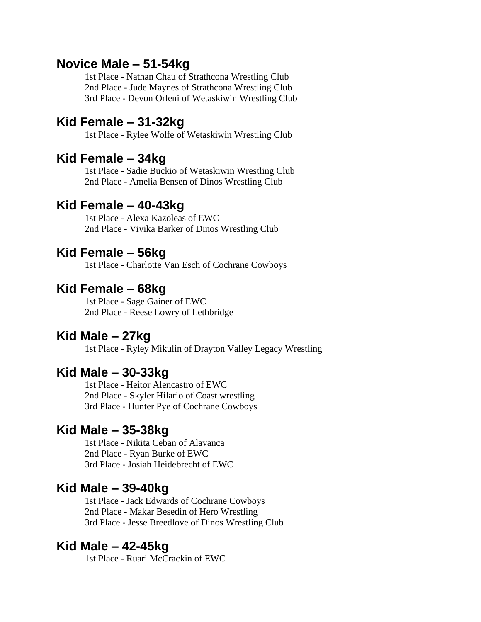# **Novice Male – 51-54kg**

1st Place - Nathan Chau of Strathcona Wrestling Club 2nd Place - Jude Maynes of Strathcona Wrestling Club 3rd Place - Devon Orleni of Wetaskiwin Wrestling Club

# **Kid Female – 31-32kg**

1st Place - Rylee Wolfe of Wetaskiwin Wrestling Club

# **Kid Female – 34kg**

1st Place - Sadie Buckio of Wetaskiwin Wrestling Club 2nd Place - Amelia Bensen of Dinos Wrestling Club

# **Kid Female – 40-43kg**

1st Place - Alexa Kazoleas of EWC 2nd Place - Vivika Barker of Dinos Wrestling Club

# **Kid Female – 56kg**

1st Place - Charlotte Van Esch of Cochrane Cowboys

# **Kid Female – 68kg**

1st Place - Sage Gainer of EWC 2nd Place - Reese Lowry of Lethbridge

#### **Kid Male – 27kg**

1st Place - Ryley Mikulin of Drayton Valley Legacy Wrestling

# **Kid Male – 30-33kg**

1st Place - Heitor Alencastro of EWC 2nd Place - Skyler Hilario of Coast wrestling 3rd Place - Hunter Pye of Cochrane Cowboys

# **Kid Male – 35-38kg**

1st Place - Nikita Ceban of Alavanca 2nd Place - Ryan Burke of EWC 3rd Place - Josiah Heidebrecht of EWC

#### **Kid Male – 39-40kg**

1st Place - Jack Edwards of Cochrane Cowboys 2nd Place - Makar Besedin of Hero Wrestling 3rd Place - Jesse Breedlove of Dinos Wrestling Club

# **Kid Male – 42-45kg**

1st Place - Ruari McCrackin of EWC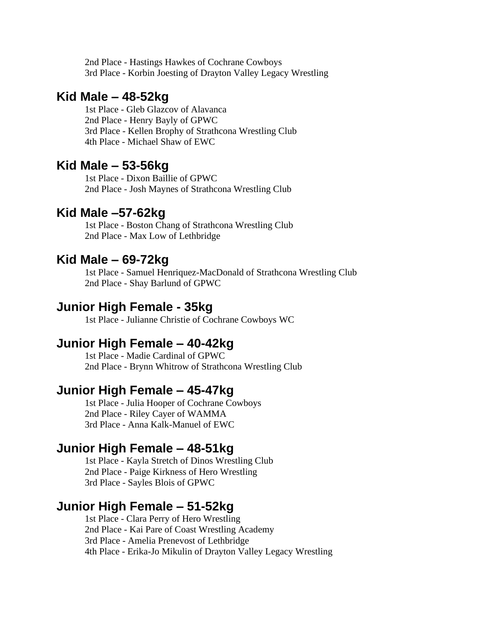2nd Place - Hastings Hawkes of Cochrane Cowboys 3rd Place - Korbin Joesting of Drayton Valley Legacy Wrestling

# **Kid Male – 48-52kg**

1st Place - Gleb Glazcov of Alavanca 2nd Place - Henry Bayly of GPWC 3rd Place - Kellen Brophy of Strathcona Wrestling Club 4th Place - Michael Shaw of EWC

# **Kid Male – 53-56kg**

1st Place - Dixon Baillie of GPWC 2nd Place - Josh Maynes of Strathcona Wrestling Club

# **Kid Male –57-62kg**

1st Place - Boston Chang of Strathcona Wrestling Club 2nd Place - Max Low of Lethbridge

# **Kid Male – 69-72kg**

1st Place - Samuel Henriquez-MacDonald of Strathcona Wrestling Club 2nd Place - Shay Barlund of GPWC

## **Junior High Female - 35kg**

1st Place - Julianne Christie of Cochrane Cowboys WC

#### **Junior High Female – 40-42kg**

1st Place - Madie Cardinal of GPWC 2nd Place - Brynn Whitrow of Strathcona Wrestling Club

### **Junior High Female – 45-47kg**

1st Place - Julia Hooper of Cochrane Cowboys 2nd Place - Riley Cayer of WAMMA 3rd Place - Anna Kalk-Manuel of EWC

# **Junior High Female – 48-51kg**

1st Place - Kayla Stretch of Dinos Wrestling Club 2nd Place - Paige Kirkness of Hero Wrestling 3rd Place - Sayles Blois of GPWC

# **Junior High Female – 51-52kg**

1st Place - Clara Perry of Hero Wrestling 2nd Place - Kai Pare of Coast Wrestling Academy 3rd Place - Amelia Prenevost of Lethbridge 4th Place - Erika-Jo Mikulin of Drayton Valley Legacy Wrestling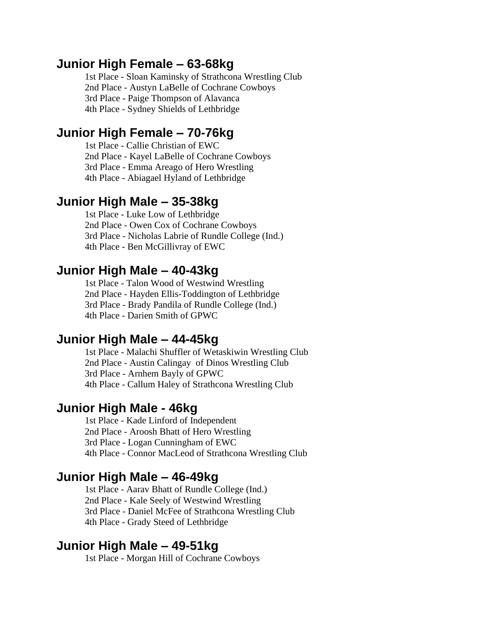# **Junior High Female – 63-68kg**

1st Place - Sloan Kaminsky of Strathcona Wrestling Club 2nd Place - Austyn LaBelle of Cochrane Cowboys 3rd Place - Paige Thompson of Alavanca 4th Place - Sydney Shields of Lethbridge

# **Junior High Female – 70-76kg**

1st Place - Callie Christian of EWC 2nd Place - Kayel LaBelle of Cochrane Cowboys 3rd Place - Emma Areago of Hero Wrestling 4th Place - Abiagael Hyland of Lethbridge

# **Junior High Male – 35-38kg**

1st Place - Luke Low of Lethbridge 2nd Place - Owen Cox of Cochrane Cowboys 3rd Place - Nicholas Labrie of Rundle College (Ind.) 4th Place - Ben McGillivray of EWC

## **Junior High Male – 40-43kg**

1st Place - Talon Wood of Westwind Wrestling 2nd Place - Hayden Ellis-Toddington of Lethbridge 3rd Place - Brady Pandila of Rundle College (Ind.) 4th Place - Darien Smith of GPWC

# **Junior High Male – 44-45kg**

1st Place - Malachi Shuffler of Wetaskiwin Wrestling Club 2nd Place - Austin Calingay of Dinos Wrestling Club 3rd Place - Arnhem Bayly of GPWC 4th Place - Callum Haley of Strathcona Wrestling Club

## **Junior High Male - 46kg**

1st Place - Kade Linford of Independent 2nd Place - Aroosh Bhatt of Hero Wrestling 3rd Place - Logan Cunningham of EWC 4th Place - Connor MacLeod of Strathcona Wrestling Club

#### **Junior High Male – 46-49kg**

1st Place - Aarav Bhatt of Rundle College (Ind.) 2nd Place - Kale Seely of Westwind Wrestling 3rd Place - Daniel McFee of Strathcona Wrestling Club 4th Place - Grady Steed of Lethbridge

### **Junior High Male – 49-51kg**

1st Place - Morgan Hill of Cochrane Cowboys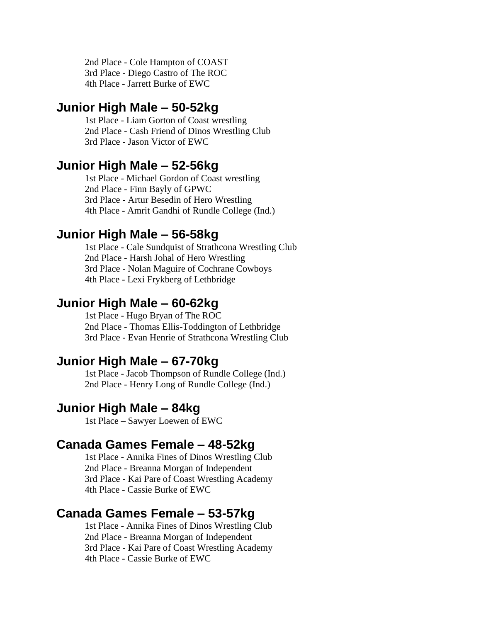2nd Place - Cole Hampton of COAST 3rd Place - Diego Castro of The ROC 4th Place - Jarrett Burke of EWC

# **Junior High Male – 50-52kg**

1st Place - Liam Gorton of Coast wrestling 2nd Place - Cash Friend of Dinos Wrestling Club 3rd Place - Jason Victor of EWC

# **Junior High Male – 52-56kg**

1st Place - Michael Gordon of Coast wrestling 2nd Place - Finn Bayly of GPWC 3rd Place - Artur Besedin of Hero Wrestling 4th Place - Amrit Gandhi of Rundle College (Ind.)

# **Junior High Male – 56-58kg**

1st Place - Cale Sundquist of Strathcona Wrestling Club 2nd Place - Harsh Johal of Hero Wrestling 3rd Place - Nolan Maguire of Cochrane Cowboys 4th Place - Lexi Frykberg of Lethbridge

# **Junior High Male – 60-62kg**

1st Place - Hugo Bryan of The ROC 2nd Place - Thomas Ellis-Toddington of Lethbridge 3rd Place - Evan Henrie of Strathcona Wrestling Club

## **Junior High Male – 67-70kg**

1st Place - Jacob Thompson of Rundle College (Ind.) 2nd Place - Henry Long of Rundle College (Ind.)

# **Junior High Male – 84kg**

1st Place – Sawyer Loewen of EWC

## **Canada Games Female – 48-52kg**

1st Place - Annika Fines of Dinos Wrestling Club 2nd Place - Breanna Morgan of Independent 3rd Place - Kai Pare of Coast Wrestling Academy 4th Place - Cassie Burke of EWC

# **Canada Games Female – 53-57kg**

1st Place - Annika Fines of Dinos Wrestling Club 2nd Place - Breanna Morgan of Independent 3rd Place - Kai Pare of Coast Wrestling Academy 4th Place - Cassie Burke of EWC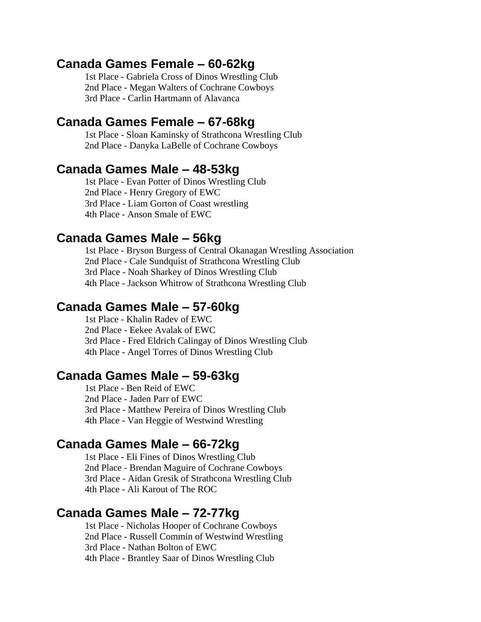### **Canada Games Female – 60-62kg**

1st Place - Gabriela Cross of Dinos Wrestling Club 2nd Place - Megan Walters of Cochrane Cowboys 3rd Place - Carlin Hartmann of Alavanca

# **Canada Games Female – 67-68kg**

1st Place - Sloan Kaminsky of Strathcona Wrestling Club 2nd Place - Danyka LaBelle of Cochrane Cowboys

# **Canada Games Male – 48-53kg**

1st Place - Evan Potter of Dinos Wrestling Club 2nd Place - Henry Gregory of EWC 3rd Place - Liam Gorton of Coast wrestling 4th Place - Anson Smale of EWC

# **Canada Games Male – 56kg**

1st Place - Bryson Burgess of Central Okanagan Wrestling Association 2nd Place - Cale Sundquist of Strathcona Wrestling Club 3rd Place - Noah Sharkey of Dinos Wrestling Club 4th Place - Jackson Whitrow of Strathcona Wrestling Club

# **Canada Games Male – 57-60kg**

1st Place - Khalin Radev of EWC 2nd Place - Eekee Avalak of EWC 3rd Place - Fred Eldrich Calingay of Dinos Wrestling Club 4th Place - Angel Torres of Dinos Wrestling Club

## **Canada Games Male – 59-63kg**

1st Place - Ben Reid of EWC 2nd Place - Jaden Parr of EWC 3rd Place - Matthew Pereira of Dinos Wrestling Club 4th Place - Van Heggie of Westwind Wrestling

## **Canada Games Male – 66-72kg**

1st Place - Eli Fines of Dinos Wrestling Club 2nd Place - Brendan Maguire of Cochrane Cowboys 3rd Place - Aidan Gresik of Strathcona Wrestling Club 4th Place - Ali Karout of The ROC

## **Canada Games Male – 72-77kg**

1st Place - Nicholas Hooper of Cochrane Cowboys 2nd Place - Russell Commin of Westwind Wrestling 3rd Place - Nathan Bolton of EWC 4th Place - Brantley Saar of Dinos Wrestling Club